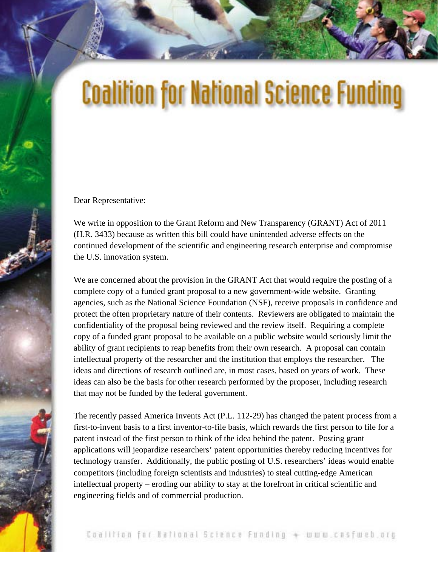## **Coalition for National Science Funding**

Dear Representative:

We write in opposition to the Grant Reform and New Transparency (GRANT) Act of 2011 (H.R. 3433) because as written this bill could have unintended adverse effects on the continued development of the scientific and engineering research enterprise and compromise the U.S. innovation system.

We are concerned about the provision in the GRANT Act that would require the posting of a complete copy of a funded grant proposal to a new government-wide website. Granting agencies, such as the National Science Foundation (NSF), receive proposals in confidence and protect the often proprietary nature of their contents. Reviewers are obligated to maintain the confidentiality of the proposal being reviewed and the review itself. Requiring a complete copy of a funded grant proposal to be available on a public website would seriously limit the ability of grant recipients to reap benefits from their own research. A proposal can contain intellectual property of the researcher and the institution that employs the researcher. The ideas and directions of research outlined are, in most cases, based on years of work. These ideas can also be the basis for other research performed by the proposer, including research that may not be funded by the federal government.

The recently passed America Invents Act (P.L. 112-29) has changed the patent process from a first-to-invent basis to a first inventor-to-file basis, which rewards the first person to file for a patent instead of the first person to think of the idea behind the patent. Posting grant applications will jeopardize researchers' patent opportunities thereby reducing incentives for technology transfer. Additionally, the public posting of U.S. researchers' ideas would enable competitors (including foreign scientists and industries) to steal cutting-edge American intellectual property – eroding our ability to stay at the forefront in critical scientific and engineering fields and of commercial production.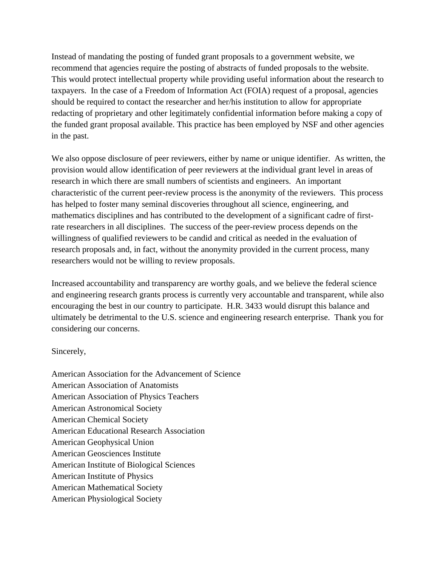Instead of mandating the posting of funded grant proposals to a government website, we recommend that agencies require the posting of abstracts of funded proposals to the website. This would protect intellectual property while providing useful information about the research to taxpayers. In the case of a Freedom of Information Act (FOIA) request of a proposal, agencies should be required to contact the researcher and her/his institution to allow for appropriate redacting of proprietary and other legitimately confidential information before making a copy of the funded grant proposal available. This practice has been employed by NSF and other agencies in the past.

We also oppose disclosure of peer reviewers, either by name or unique identifier. As written, the provision would allow identification of peer reviewers at the individual grant level in areas of research in which there are small numbers of scientists and engineers. An important characteristic of the current peer-review process is the anonymity of the reviewers. This process has helped to foster many seminal discoveries throughout all science, engineering, and mathematics disciplines and has contributed to the development of a significant cadre of firstrate researchers in all disciplines. The success of the peer-review process depends on the willingness of qualified reviewers to be candid and critical as needed in the evaluation of research proposals and, in fact, without the anonymity provided in the current process, many researchers would not be willing to review proposals.

Increased accountability and transparency are worthy goals, and we believe the federal science and engineering research grants process is currently very accountable and transparent, while also encouraging the best in our country to participate. H.R. 3433 would disrupt this balance and ultimately be detrimental to the U.S. science and engineering research enterprise. Thank you for considering our concerns.

## Sincerely,

American Association for the Advancement of Science American Association of Anatomists American Association of Physics Teachers American Astronomical Society American Chemical Society American Educational Research Association American Geophysical Union American Geosciences Institute American Institute of Biological Sciences American Institute of Physics American Mathematical Society American Physiological Society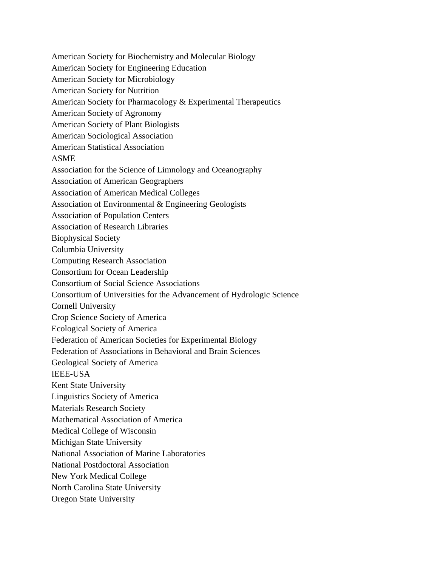American Society for Biochemistry and Molecular Biology American Society for Engineering Education American Society for Microbiology American Society for Nutrition American Society for Pharmacology & Experimental Therapeutics American Society of Agronomy American Society of Plant Biologists American Sociological Association American Statistical Association ASME Association for the Science of Limnology and Oceanography Association of American Geographers Association of American Medical Colleges Association of Environmental & Engineering Geologists Association of Population Centers Association of Research Libraries Biophysical Society Columbia University Computing Research Association Consortium for Ocean Leadership Consortium of Social Science Associations Consortium of Universities for the Advancement of Hydrologic Science Cornell University Crop Science Society of America Ecological Society of America Federation of American Societies for Experimental Biology Federation of Associations in Behavioral and Brain Sciences Geological Society of America IEEE-USA Kent State University Linguistics Society of America Materials Research Society Mathematical Association of America Medical College of Wisconsin Michigan State University National Association of Marine Laboratories National Postdoctoral Association New York Medical College North Carolina State University Oregon State University